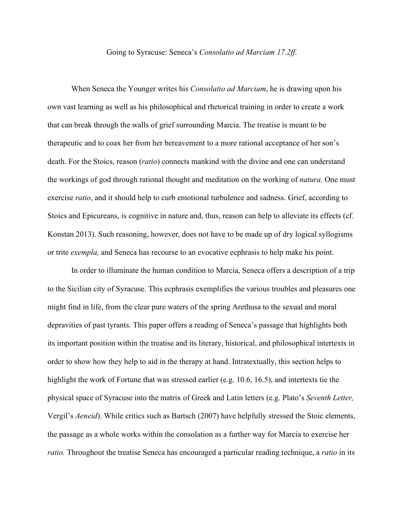## Going to Syracuse: Seneca's *Consolatio ad Marciam 17.2ff.*

When Seneca the Younger writes his *Consolatio ad Marciam*, he is drawing upon his own vast learning as well as his philosophical and rhetorical training in order to create a work that can break through the walls of grief surrounding Marcia. The treatise is meant to be therapeutic and to coax her from her bereavement to a more rational acceptance of her son's death. For the Stoics, reason (*ratio*) connects mankind with the divine and one can understand the workings of god through rational thought and meditation on the working of *natura*. One must exercise *ratio*, and it should help to curb emotional turbulence and sadness. Grief, according to Stoics and Epicureans, is cognitive in nature and, thus, reason can help to alleviate its effects (cf. Konstan 2013). Such reasoning, however, does not have to be made up of dry logical syllogisms or trite *exempla,* and Seneca has recourse to an evocative ecphrasis to help make his point.

In order to illuminate the human condition to Marcia, Seneca offers a description of a trip to the Sicilian city of Syracuse. This ecphrasis exemplifies the various troubles and pleasures one might find in life, from the clear pure waters of the spring Arethusa to the sexual and moral depravities of past tyrants. This paper offers a reading of Seneca's passage that highlights both its important position within the treatise and its literary, historical, and philosophical intertexts in order to show how they help to aid in the therapy at hand. Intratextually, this section helps to highlight the work of Fortune that was stressed earlier (e.g. 10.6, 16.5), and intertexts tie the physical space of Syracuse into the matrix of Greek and Latin letters (e.g. Plato's *Seventh Letter,*  Vergil's *Aeneid*). While critics such as Bartsch (2007) have helpfully stressed the Stoic elements, the passage as a whole works within the consolation as a further way for Marcia to exercise her *ratio.* Throughout the treatise Seneca has encouraged a particular reading technique, a *ratio* in its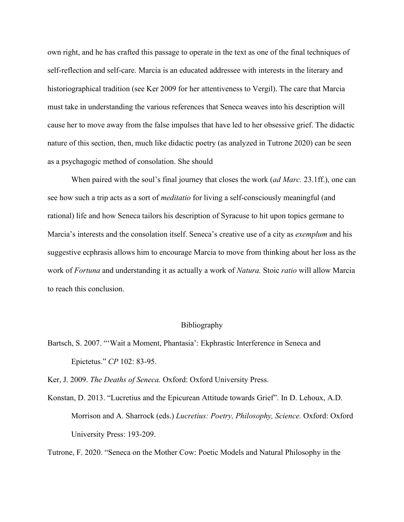own right, and he has crafted this passage to operate in the text as one of the final techniques of self-reflection and self-care. Marcia is an educated addressee with interests in the literary and historiographical tradition (see Ker 2009 for her attentiveness to Vergil). The care that Marcia must take in understanding the various references that Seneca weaves into his description will cause her to move away from the false impulses that have led to her obsessive grief. The didactic nature of this section, then, much like didactic poetry (as analyzed in Tutrone 2020) can be seen as a psychagogic method of consolation. She should

When paired with the soul's final journey that closes the work (*ad Marc.* 23.1ff.), one can see how such a trip acts as a sort of *meditatio* for living a self-consciously meaningful (and rational) life and how Seneca tailors his description of Syracuse to hit upon topics germane to Marcia's interests and the consolation itself. Seneca's creative use of a city as *exemplum* and his suggestive ecphrasis allows him to encourage Marcia to move from thinking about her loss as the work of *Fortuna* and understanding it as actually a work of *Natura.* Stoic *ratio* will allow Marcia to reach this conclusion.

## Bibliography

Bartsch, S. 2007. "'Wait a Moment, Phantasia': Ekphrastic Interference in Seneca and Epictetus." *CP* 102: 83-95.

Ker, J. 2009. *The Deaths of Seneca.* Oxford: Oxford University Press.

Konstan, D. 2013. "Lucretius and the Epicurean Attitude towards Grief". In D. Lehoux, A.D. Morrison and A. Sharrock (eds.) *Lucretius: Poetry, Philosophy, Science.* Oxford: Oxford University Press: 193-209.

Tutrone, F. 2020. "Seneca on the Mother Cow: Poetic Models and Natural Philosophy in the